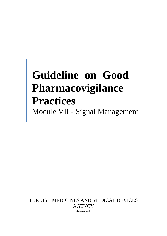# **Guideline on Good Pharmacovigilance Practices**  Module VII - Signal Management

TURKISH MEDICINES AND MEDICAL DEVICES AGENCY 20.12.2016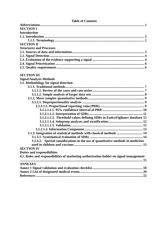| <b>Table of Contents</b>                                                               |
|----------------------------------------------------------------------------------------|
|                                                                                        |
| <b>SECTION I</b>                                                                       |
| <b>Introduction</b>                                                                    |
|                                                                                        |
|                                                                                        |
| <b>SECTION II</b>                                                                      |
| <b>Structures and Processes</b>                                                        |
|                                                                                        |
|                                                                                        |
|                                                                                        |
|                                                                                        |
|                                                                                        |
| <b>SECTION III</b>                                                                     |
|                                                                                        |
| <b>Signal Analysis Methods</b>                                                         |
| 3.1. Methodology for signal detection                                                  |
|                                                                                        |
|                                                                                        |
|                                                                                        |
|                                                                                        |
|                                                                                        |
|                                                                                        |
|                                                                                        |
|                                                                                        |
| 3.1.2.1.1.3. Threshold values defining SDRs in EudraVigilance database 12              |
|                                                                                        |
|                                                                                        |
|                                                                                        |
| 3.1.3. Integration of statistical methods with classical methods  14                   |
|                                                                                        |
| 3.1.3.2. Special considerations in the use of quantitative methods in medicines        |
|                                                                                        |
| <b>SECTION IV</b>                                                                      |
| <b>Duties and responsibilities</b>                                                     |
| 4.1. Roles and responsibilities of marketing authorization holder on signal management |
| <b>ANNEXES</b>                                                                         |
|                                                                                        |
|                                                                                        |
|                                                                                        |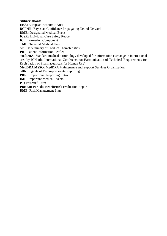### **Abbreviations:**

**EEA:** European Economic Area **BCPNN:** Bayesian Confidence Propagating Neural Network **DME:** Designated Medical Event **ICSR:** Individual Case Safety Report **IC:** Information Component **TME:** Targeted Medical Event **SmPC:** Summary of Product Characteristics **PIL:** Patient Information Leaflet **MedDRA:** Standard medical terminology developed for information exchange in international area by ICH (the International Conference on Harmonization of Technical Requirements for Registration of Pharmaceuticals for Human Use) **MedDRA MSSO:** MedDRA Maintenance and Support Services Organization **SDR:** Signals of Disproportionate Reporting **PRR:** Proportional Reporting Ratio **IME:** Important Medical Events **PT:** Preferred Term **PBRER:** Periodic Benefit/Risk Evaluation Report

**RMP:** Risk Management Plan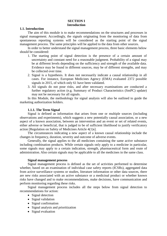## **SECTION I Introduction**

#### **1.1. Introduction**

The aim of this module is to make recommendations on the structures and processes in signal management. Accordingly, the signals originating from the monitoring of data from spontaneous reporting systems will be considered as the starting point of the signal management process. The same principles will be applied to the data from other sources.

In order to better understand the signal management process, three basic elements below should be considered:

- 1. The starting point of signal detection is the presence of a certain amount of uncertainty and constant need for a reasonable judgment. Probability of a signal may be at different levels depending on the sufficiency and strength of the available data. Evidence may be found in different sources, may be of different strengths, and may be collected over time.
- 2. Signal is a hypothesis. It does not necessarily indicate a causal relationship in all cases. For instance, European Medicines Agency (EMA) evaluated 2372 possible signals in 2015, of which only 61 have been validated.
- 3. All signals do not pose risks, and after necessary examinations are conducted a further regulatory action (e.g. Summary of Product Characteristics (SmPC) update) may not be necessary for all signals.

In this Module, the methodology for signal analysis will also be outlined to guide the marketing authorization holders.

#### **1.1.1. The Term Signal**

Signal is defined as information that arises from one or multiple sources (including observations and experiments), which suggests a new potentially causal association, or a new aspect of a known association, between an intervention and an event or set of related events, either adverse or beneficial, that is judged to be of sufficient likelihood to justify verificatory action [Regulation on Safety of Medicines Article 4(1)s].

The circumstances indicating a new aspect of a known causal relationship include the changes in frequency, duration, severity and outcome of adverse events.

Generally, the signal applies to the all medicines containing the same active substance including combination products. While certain signals only apply to a medicine in particular, some signals may apply to a certain indication, strength, pharmaceutical form and route of administration. Also certain signals may be applicable to all the medicines in the same class.

#### **Signal management process**

Signal management process is defined as the set of activities performed to determine whether, based on an examination of individual case safety reports (ICSRs), aggregated data from active surveillance systems or studies, literature information or other data sources, there are new risks associated with an active substance or a medicinal product or whether known risks have changed and to make recommendations, make decisions, have communication and perform monitoring regarding these risks.

Signal management process includes all the steps below from signal detection to recommendations for action:

- Signal detection
- Signal validation
- Signal confirmation
- Signal analysis and prioritization
- Signal evaluation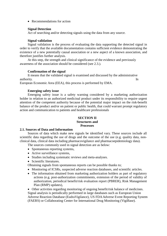• Recommendations for action

## **Signal Detection**

Act of searching and/or detecting signals using the data from any source.

#### **Signal validation**

Signal validation is the process of evaluating the data supporting the detected signal in order to verify that the available documentation contains sufficient evidence demonstrating the existence of a new potentially causal association or a new aspect of a known association, and therefore justifies further analysis.

At this step, the strength and clinical significance of the evidence and previously awareness of the association should be considered (see 2.3.).

#### **Confirmation of the signal**

It means that the validated signal is examined and discussed by the administrative authority. In the contract of the contract of the contract of the contract of the contract of the contract of the contract of the contract of the contract of the contract of the contract of the contract of the contract of

European Economic Area (EEA), this process is performed by EMA.

## **Emerging safety issue**

Emerging safety issue is a safety warning considered by a marketing authorization holder in relation to an authorized medicinal product under its responsibility to require urgent attention of the competent authority because of the potential major impact on the risk-benefit balance of the product and/or on patient or public health, that could warrant prompt regulatory action and communication to patients and healthcare professionals

#### **SECTION II Structures and Processes**

#### **2.1. Sources of Data and Information**

Sources of data which make new signals be identified vary. These sources include all scientific data regarding the use of drugs and the outcome of the use (e.g. quality data, nonclinical data, clinical data including pharmacovigilance and pharmacoepidemiology data).

The sources commonly used in signal detection are as below:

- Spontaneous reporting systems,
- Active surveillance systems,
- Studies including systematic reviews and meta-analyses.
- Scientific literatures.

Obtaining signals from spontaneous reports can be possible thanks to;

- Monitoring of ICSRs, suspected adverse reaction databases, and scientific articles.
- The information obtained from marketing authorization holders as part of regulatory actions (e.g. post-authorization commitments, extension of the period of validity of authorization, periodical benefit/risk evaluation report (PBRER), Risk Management Plan (RMP) updates),

• Other activities regarding monitoring of ongoing benefit/risk balance of medicines. Signal analysis is periodically performed in large databases such as European Union Adverse Reaction Database (EudraVigilance), US FDA Adverse Event Reporting System (FAERS) or Collaborating Center for International Drug Monitoring (VigiBase).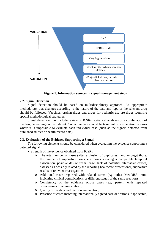

**Figure 1. Information sources in signal management steps**

#### **2.2. Signal Detection**

.

Signal detection should be based on multidisciplinary approach. An appropriate methodology that changes according to the nature of the data and type of the relevant drug should be followed. Vaccines, orphan drugs and drugs for pediatric use are drugs requiring special methodological strategies.

Signal detection may include review of ICSRs, statistical analyses or a combination of the two, depending on the data set. Collective data should be taken into consideration in cases where it is impossible to evaluate each individual case (such as the signals detected from published studies or health record data).

## **2.3. Evaluation of the Evidence Supporting a Signal**

The following elements should be considered when evaluating the evidence supporting a detected signal:

- Strength of the evidence obtained from ICSRs
	- o The total number of cases (after exclusion of duplicates), and amongst those, the number of supportive cases, e.g. cases showing a compatible temporal association, positive de- or rechallenge, lack of potential alternative causes, assessed as possibly related by the reporting healthcare professional, supportive results of relevant investigations,
	- o Additional cases reported with related terms (e.g. other MedDRA terms indicating clinical complications or different stages of the same reaction).
	- o Consistency of the evidence across cases (e.g. pattern with repeated observations of an association),
	- o Quality of the data and their documentation,
	- o Presence of cases matching internationally agreed case definitions if applicable,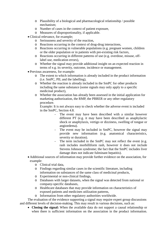- o Plausibility of a biological and pharmacological relationship / possible mechanism;
- o Number of cases in the context of patient exposure,
- o Measures of disproportionality, if applicable.
- Clinical relevance, for example;
	- o Seriousness and severity of the reaction,
	- o Reactions occurring in the context of drug-drug interactions,
	- o Reactions occurring in vulnerable populations (e.g. pregnant women, children or the older population or in patients with pre-existing risk factors,
	- o Reactions occurring in different patterns of use (e.g. overdose, misuse, offlabel use, medication errors),
	- o Whether the signal may provide additional insight on an expected reaction in terms of e.g. its severity, outcome, incidence or management.
- Previous awareness, for example:
	- o The extent to which information is already included in the product information (i.e. SmPC, PIL and the labelling),
	- o Whether the reaction is already included in the SmPC for other products including the same substance (some signals may only apply to a specific medicinal product),
	- o Whether the association has already been assessed in the initial application for marketing authorization, the RMP, the PBRER or any other regulatory procedure.

Example: It is not always easy to check whether the adverse event is included in the SmPC, Section 4.8.

- The event may have been described with a similar however different PT (e.g. it may have been described as anaphylactic shock or anaphylaxis, vertigo or dizziness, swelling of tongue or angioedema).
- The event may be included in SmPC, however the signal may provide new information (e.g. anatomical characteristics, severity or duration).
- The term included in the SmPC may not reflect the event (e.g. rash includes morbilliform rash, however it does not include Stevens Johnson syndrome; the fact that the SmPC includes liver damage does not indicate fulminant hepatitis).
- Additional sources of information may provide further evidence on the association, for example:
	- o Clinical trial data,
	- o Findings regarding similar cases in the scientific literature, including information on substances of the same class of medicinal products,
	- o Experimental or non-clinical findings,
	- o Databases with larger datasets, when the signal was detected from national or company-specific databases,
	- o Healthcare databases that may provide information on characteristics of exposed patients and medicines utilization patterns,
	- o Information from other regulatory authorities worldwide.

The evaluation of the evidence supporting a signal may require expert group discussions and different levels of decision-making. This may result in various decisions, such as:

• **Closing the signal:** When the available data do not support a causal relationship or when there is sufficient information on the association in the product information.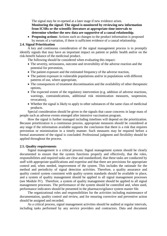The signal may be re-opened at a later stage if new evidence arises. **Monitoring the signal: The signal is monitored by reviewing new information from ICSRs or the scientific literature at appropriate time intervals to determine whether the new data are supportive of a causal relationship.**

• **Proposing actions**: Actions such as changes to the product information is proposed by means of a variation, if there is sufficient evidence of a causal relationship.

#### **2.4. Signal Prioritization**

A key and continuous consideration of the signal management process is to promptly identify signals that may have an important impact on patient or public health and/or on the risk-benefit balance of the medicinal product.

The following should be considered when evaluating this impact:

- The severity, seriousness, outcome and reversibility of the adverse reaction and the potential for prevention,
- The patient exposure and the estimated frequency of the adverse reaction,
- The patient exposure in vulnerable populations and/or in populations with different patterns of use, where appropriate,
- The consequences of treatment discontinuation and the availability of other therapeutic options,
- The expected extent of the regulatory intervention (e.g. addition of adverse reactions, warnings, contraindications, additional risk minimization measures, suspension, revocation),
- Whether the signal is likely to apply to other substances of the same class of medicinal products.

Special consideration should be given to the signals that cause concerns in large mass of people such as adverse events emerged after intensive vaccination program.

How the signal is further managed including timelines will depend on the prioritization. Because prioritization is a continuous process, appropriate measures should be considered at any stage if the information available supports the conclusion that there is a risk that requires prevention or minimization in a timely manner. Such measures may be required before a formal assessment of the signal is concluded. Professional judgment and flexibility should be applied throughout the process.

## **2.5. Quality requirements**

Signal management is a critical process. Signal management system should be clearly documented to ensure that the system functions properly and effectively, that the roles, responsibilities and required tasks are clear and standardized, that these tasks are conducted by staff with appropriate qualifications and expertise and that there are provisions for appropriate control and, when needed, improvement of the system. This includes the rationale for the method and periodicity of signal detection activities. Therefore, a quality assurance and quality control system consistent with quality system standards should be available in place, and a system of quality management should be applied to all signal management processes (see Module IV). Therefore, a system of quality management should be applied to all signal management processes. The performance of the system should be controlled and, when used, performance indicators should be presented in the pharmacovigilance system master file.

The organizational roles and responsibilities for the activities including maintenance of documentation, quality control and review, and for ensuring corrective and preventive action should be assigned and recorded.

As a critical process, signal management activities should be audited at regular intervals, including tasks performed by any service providers and contractors. Data and document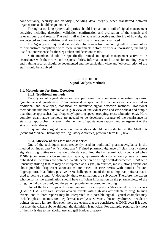confidentiality, security and validity (including data integrity when transferred between organizations) should be guaranteed.

Through a tracking system, all parties should keep an audit trail of signal management activities including detection, validation, confirmation and evaluation of the signals and relevant query and results. The audit trail will enable retrospective monitoring of how signals are detected and how validated and confirmed signals have been evaluated.

The Agency may request documentation for review from marketing authorization holder to demonstrate compliance with these requirements before or after authorization, including justification/evidence for the steps taken and decisions made.

Staff members should be specifically trained in signal management activities in accordance with their roles and responsibilities. Information on location for training system and training records should be documented and the curriculum vitae and job description of the staff should be archived

#### **SECTION III Signal Analysis Methods**

## <span id="page-8-0"></span>**3.1. Methodology for Signal Detection**

#### **3.1.1. Traditional methods**

Two types of signal detection are performed in spontaneous reporting systems: Qualitative and quantitative. From historical perspective, the methods can be classified as traditional and developed, statistical or automatic signal detection methods. Traditional methods include both qualitative (e.g. review of individual case and case series) and simple quantitative approaches (e.g. frequency/reporting speed, grouping, cross tabulation etc.). More complex quantitative methods are needed to be developed because of the renaissance in statistical approaches, increase in the number of spontaneous reports, and enlargement of the size of the databases.

In quantitative signal detection, the analysis should be conducted at the MedDRA (Standard Medical Dictionary for Regulatory Activities) preferred term (PT) level.

#### **3.1.1.1.Review of the cases and case series**

<span id="page-8-1"></span>One of the techniques most frequently used in traditional pharmacovigilance is the method of "index case" or "striking case". Trained pharmacovigilance officials mostly detect signals during routine examination of the data acquired, the first examination conducted when ICSRs (spontaneous adverse reaction reports, systematic data collection systems or cases published in literature) are obtained. While detection of a single well-documented ICSR with unusually striking feature may be interpreted as a signal, in practice, mostly, strong suspicions about possible drug-event associations are based on case series with similar features (aggregation). In addition, positive de-/rechallenge is one of the most important criteria that is used to define a signal. Undoubtedly, these examinations are subjective. Therefore, the expert who performs the examination should have sufficient information on the pharmacology of the drug, the indication used, and the patient population exposed to the drug.

One of the basic steps of the examination of case reports is "designated medical events (DME)". DMEs are rare, serious adverse events with high risk attributable to drug. In such events, one to three reports may be interpreted as a possible signal. Typical examples may include aplastic anemia, toxic epidermal necrolysis, Stevens-Johnson syndrome, Torsade de pointes, hepatic failure. However, there are events that are considered as DME even if it does not meet the criteria above although the definition is not clear. For example; pancreatitis (most of the risk is due to the alcohol use and gall bladder disease).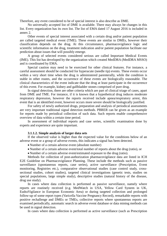Therefore, any event considered to be of special interest is also describe as DME.

No universally accepted list of DME is available. There may always be changes in this list. Every organization has its own list. The list of EMA dated 17 August 2016 is included in annex 2.

Other events of special interest associated with a certain drug and/or patient population are called targeted medical event (TME). These events are similar to DMEs, however their classification depends on the drug. At this circumstance, pharmacovigilance logic and scientific information on the drug, treatment indication and/or patient population facilitate our prediction about issues that will possibly emerge.

A group of selected events considered serious are called Important Medical Events (IME). This list has developed by the organization which created MedDRA (MedDRA MSSO) and is coordinated by EMA.

Special caution may need to be exercised for other clinical features. For instance, a careful assessment should be conducted for hyperacute (needle tip) events. These events occur within a very short time when the drug is administered parenterally, while the condition is stable in other routes, and the occurrence of these events are biologically reasonable. The clinical characteristics of the event indicate that the drug at least participate in the occurrence of this event. For example, kidney and gallbladder stones comprised of pure drug.

In signal detection, there are other criteria which are part of clinical triage of cases, apart from DME and TME. For instance, if it is known that a hypothetical drug induces moderate respiratory depression, however the reports received include apnea/respiratory arrest, this event that is an identified event, however occurs more severe should be biologically justified.

For safety of newly authorized drugs, preparation and analysis of periodical assessments are very important traditional signal detection methods. PBRER can be given as an example for reports made by periodical collection of such data. Such reports enable comprehensive overview of data within a certain time period.

In assessment of individual reports and case series, scientific examination done by experts and experience are quite important.

#### **3.1.1.2. Simple analysis of larger data sets**

<span id="page-9-0"></span>If the observed value is higher than the expected value for the conditions below of an adverse event or a group of adverse events, this indicates a signal has been detected.

- Number of a certain adverse event (absolute number)
- Number of a certain adverse event/total number of reports about the drug (ratio), or
- Number of a certain adverse event/estimated exposure to the drug (ratio).

Methods for collection of post-authorization pharmacovigilance data are listed in ICH E2E Guideline on Pharmacovigilance Planning. These include the methods such as passive surveillance (spontaneous reports, case series), active surveillance (Prescription, Event monitoring, Registries etc.), comparative observational studies (case control study, crosssectional studies, cohort studies), targeted clinical investigations (genetic tests, studies on special populations, large simple study), descriptive studies (natural history of the disease, drug use study).

In cases where data collection is performed as passive surveillance, namely where reports are routinely received (e.g. MedWatch in USA, Yellow Card System in UK, EudraVigilance in European Economic Area) or during targeted collection and prolonged follow-up of some report types (Varicella Vaccine Pregnancy Record), remarkable reports with positive rechallenge and DMEs or TMEs, collective reports where spontaneous reports are examined periodically, automatic search in adverse event database or data mining methods can be used in signal detection.

In cases where data collection is performed as active surveillance (such as Prescription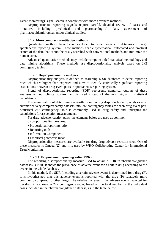Event Monitoring), signal search is conducted with more advances methods.

Disproportionate reporting signals require careful, detailed review of cases and literature, including preclinical and pharmacological data, assessment of pharmacoepidemiological and/or clinical studies.

#### **3.1.2. More complex quantitative methods**

<span id="page-10-0"></span>Quantitative methods have been developed to detect signals in databases of large spontaneous reporting system. These methods enable systematical, automated and practical search of the data that cannot be easily searched with conventional methods and minimize the human error.

Advanced quantitative methods may include computer aided statistical methodology and data mining algorithms. These methods use disproportionality analysis based on 2x2 contingency tables.

#### **3.1.2.1. Disproportionality analyses**

<span id="page-10-1"></span>Disproportionality analysis is defined as searching ICSR databases to detect reporting rates which are higher than expected and aims to identify statistically significant reporting associations between drug-event pairs in spontaneous reporting system.

Signal of disproportionate reporting (SDR) represents numerical outputs of these analyses without clinical context and is used instead of the term signal in statistical calculations.

The main feature of data mining algorithms supporting disproportionality analysis is to summarize very complex safety datasets into 2x2 contingency tables for each drug-event pair. Statistical 2x2 contingency table is commonly used in drug safety and underpins the calculations for association measurements.

For drug-adverse reaction pairs, the elements below are used as common

disproportionality measures:

- Proportional reporting ratio,
- Reporting odds,
- Information Component,

• Empirical geometric mean.

Disproportionality measures are available for drug-drug-adverse reaction trios. One of these measures is Omega  $(\Omega)$  and it is used by WHO Collaborating Center for International Drug Monitoring.

#### **3.1.2.1.1. Proportional reporting ratio (PRR)**

<span id="page-10-2"></span>The reporting disproportionality measure used to obtain a SDR in pharmacovigilance databases is PRR. It shows the prevalence of adverse event for a certain drug according to the events in the whole database.

In this method, if a SDR (including a certain adverse event) is determined for a drug (P), it is hypothesized that this adverse event is reported with the drug (P) relatively more commonly compared to other drugs. The relative increase in the adverse events reported for the drug P is shown in 2x2 contingency table, based on the total number of the individual cases included in the pharmacovigilance database, as in the table below: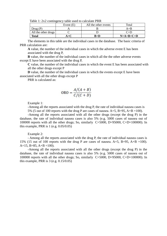|                     | Tuble 1: 2012 Contingency tuble about to eureliate I Terr |                      |             |
|---------------------|-----------------------------------------------------------|----------------------|-------------|
|                     | Event $(E)$                                               | All the other events | Total       |
| Drug(P)             |                                                           |                      | A+B         |
| All the other drugs |                                                           |                      | $C+D$       |
| Total               |                                                           | $B+D$                | $N=A+B+C+D$ |

Table  $1: 2x2$  contingency table used to calculate PRR

The elements in this table are the individual cases in the database. The basic criteria of PRR calculation are:

**A** value, the number of the individual cases in which the adverse event E has been associated with the drug P,

**B** value, the number of the individual cases in which all the the other adverse events except E have been associated with the drug P,

**C** value, the number of the individual cases in which the event E has been associated with all the other drugs except P

**D** value, the number of the individual cases in which the events except E have been associated with all the other drugs except P

PRR is calculated as:

$$
\text{ORO} = \frac{A/(A+B)}{C/(C+D)}
$$

Example 1:

-Among all the reports associated with the drug P, the rate of individual nausea cases is 5% (5 out of 100 reports with the drug P are cases of nausea. A=5, B=95, A+B =100).

-Among all the reports associated with all the other drugs (except the drug P) in the database, the rate of individual nausea cases is also 5% (e.g. 5000 cases of nausea out of 100000 reports with all the other drugs; So, similarly C=5000, D=95000, C+D=100000). In this example, PRR is 1 (e.g. 0.05/0.05)

Example 2:

- Among all the reports associated with the drug P, the rate of individual nausea cases is 15% (15 out of 100 reports with the drug P are cases of nausea. A=5, B=95, A+B =100). A=15, B=85, A+B =100).

-Among all the reports associated with all the other drugs (except the drug P) in the database, the rate of individual nausea cases is also 5% (e.g. 5000 cases of nausea out of 100000 reports with all the other drugs; So, similarly  $C=5000$ ,  $D=95000$ ,  $C+D=100000$ ). In this example, PRR is 3 (e.g. 0.15/0.05)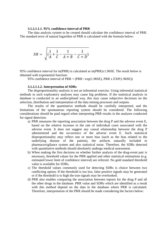#### **3.1.2.1.1.1. 95% confidence interval of PRR**

<span id="page-12-0"></span>The data analysis system to be created should calculate the confidence interval of PRR. The standard error of natural logarithm of PRR is calculated with the formula below:

$$
SH = \sqrt{(\frac{1}{A} + \frac{1}{C} - \frac{1}{A+B} - \frac{1}{C+D})}
$$

95% confidence interval for in(PRR) is calculated as in(PRR) $\pm$ 1.96SE. The result below is obtained with exponential function:

95% confidence interval of PRR =  $(PRR / exp(1.96SE), PRR x EXP(1.96SE))$ 

#### **3.1.2.1.1.2. Interpretation of SDRs**

The disproportionality analysis is not an inferential exercise. Using inferential statistical methods in such exploratory analyses may cause big problems. If the statistical analysis in database is conducted in an undisciplined way, this may cause subjective decisions on the selection, distribution and interpretation of the data mining processes and outputs.

The results of the quantitative methods should be carefully interpreted, and the limitations of the spontaneous reporting system should be considered. The following considerations should be paid regard when interpreting PRR results in the analyses conducted for signal detection:

- a) PRR measures the reporting association between the drug P and the adverse event E, based on the relative increase in the rate of individual cases associated with the adverse event. It does not suggest any causal relationship between the drug P administered and the occurrence of the adverse event E. Such statistical disproportionality may reflect one or more bias (such as the bias related to the underlying disease of the patient), the artifacts naturally included in pharmacovigilance system and also statistical noise. Therefore, the SDRs detected with quantitative methods should absolutely undergo medical assessment.
- b) When making the first decision on whether further analysis of the drug-event pair is necessary, threshold values for the PRR applied and other statistical estimations (e.g. estimated lower limit of confidence interval) are referred. No gold standard threshold value is available for SDRs.
- c) The threshold values commonly used for detecting SDRs is choice between two conflicting option: If the threshold is too low, false positive signals may be generated or if the threshold is to high the true signals may be overlooked.
- d) PRR also enables comparing the association between reports for the drug P and all the other drugs in the database. PRR value and SDRs which are identified as a result with this method depend on the data in the database where PRR is calculated. Therefore, interpretation of the PRR should be made considering the factors below: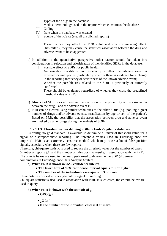- I. Types of the drugs in the database
- II. Medical terminology used in the reports which constitutes the database
- III. Coding
- IV. Date when the database was created
- V. Source of the ICSRs (e.g. all unsolicited reports)

These factors may affect the PRR value and create a masking effect. Dissimilarly, they may cause the statistical association between the drug and adverse event to be exaggerated.

- e) In addition to the quantitative perspective, other factors should be taken into consideration in selection and prioritization of the identified SDRs in the database:
	- I. Possible effect of SDRs for public health
	- II. Authorization conditions and especially whether the adverse event is expected or unexpected (particularly whether there is evidence for a change in the reporting frequency or seriousness of the known adverse event)
	- III. Whether the possible risk related to the SDR is previously or currently confirmed These should be evaluated regardless of whether they cross the predefined threshold value of PRR.
- f) Absence of SDR does not warrant the exclusion of the possibility of the association between the drug P and the adverse event E.
- g) PRR can be cleared using similar techniques to the other SDRs (e.g. pooling a great number of drugs and/or adverse events, stratification by age or sex of the patient). Based on PRR, the possibility that the association between drug and adverse event are masked by other drugs during the analysis of SDRs.

## **3.1.2.1.1.3. Threshold values defining SDRs in EudraVigilance database**

Currently, no gold standard is available to determine a universal threshold value for a signal of disproportionate reporting. The threshold values used in EudraVigilance are empirical. PRR is an extremely sensitive method which may cause a lot of false positive signals, especially when there are few reports.

Therefore, chi-square statistic is used to reduce the threshold value for the number of cases (number of reports  $\geq$ 3) and the number of false positive results, in association with the PRR. The criteria below are used in the query performed to determine the SDR (drug-event combination) in EudraVigilance Data Analysis System.

## **a) When PRR is shown in 95% confidence interval:**

- **The lower limit of 95% confidence interval equals to 1 or higher**
- **The number of the individual cases equals to 3 or more**

These criteria are used in weekly/monthly signal monitoring. Chi-square statistic is also used in association with PRR. In such cases, the criteria below are used in query.

## **b**) **When PRR** is shown with the statistic of  $\gamma$ <sup>2</sup>:

- $\bullet$  **ORO**  $>$  2
- $\chi^2 \geq 4$
- **If the number of the individual cases is 3 or more.**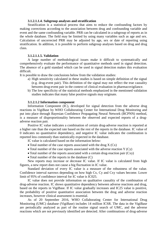#### **3.1.2.1.1.4. Subgroup analyses and stratification**

<span id="page-14-0"></span>Stratification is a statistical process that aims to reduce the confounding factors by making corrections according to the association between drug and confounding variable and event and the same confounding variable. PRR can be calculated in a subgroup of reports as in the whole database. The field may be limited by using many variables such as age and sex. Calculation of uncorrected PRR may be adjusted by age, sex or date of reporting using stratification. In addition, it is possible to perform subgroup analyses based on drug and drug class.

#### **3.1.2.1.1.5. Validation**

<span id="page-14-1"></span>A large number of methodological issues make it difficult to systematically and comprehensively evaluate the performance of quantitative methods used in signal detection. The absence of a gold standard which can be used in signal detection makes this evaluation difficult.

It is possible to draw the conclusions below from the validation studies:

- a) High sensitivity calculated in these studies is based on simple definition of the signal (e.g. drug-event pair). This definition of the signal may not reflect the true causality between drug-event pair in the context of clinical evaluation in pharmacovigilance.
- b) The low specificity of the statistical methods emphasized in the mentioned validation studies indicates that many false positive signals may originate.

#### **3.1.2.1.2 Information component**

<span id="page-14-2"></span>Information Component (IC), developed for signal detection from the adverse drug reactions in VigiBase by WHO Collaborating Center for International Drug Monitoring and put into place through Bayesian Confidence Propagating Neural Network (BCPNN) method, is a measure of disproportionality between the observed and expected reports of a drugadverse reaction pair.

Positive IC value indicates a combination of certain drug-adverse reaction is reported at a higher rate than the expected rate based on the rest of the reports in the database. IC value of 0 indicates no quantitative dependency, and negative IC value indicates the combination is reported less commonly than statistically expected in the database.

IC value is calculated based on the information below:

- Total number of the case reports associated with the drug  $X$  (Cx)
- Total number of the case reports associated with the adverse reaction  $Y(Cy)$
- Total number of the reports associated with a certain drug-reaction pair (Cxy)
- Total number of the reports in the database (C)

New reports may increase or decrease IC value. If IC value is calculated from high figures, a new report does not cause a big fluctuation in IC value.

Standard deviation of every IC value is a measure of the robustness of the value. Confidence interval narrows depending on how high Cx, Cy and Cxy values become. Lower limit of 95% of confidence interval for IC value is IC025.

IC value does not provide information on qualitative causality of the combination of drug-adverse reaction. IC shows quantitative dependency between adverse reactions and drug, based on the reports in VigiBase. If IC value gradually increases and IC25 value is positive, the probability of positive quantitative association between the drug and adverse reaction increases, however clinical assessment is essential.

As of 20 September 2016, WHO Collaborating Center for International Drug Monitoring (UMC) database (VigiBase) includes 14 million ICSR. The data in the VigiBase are periodically analyzed as part of the routine signal search of UMC, and the adverse reactions which are not previously identified are detected. After combinations of drug-adverse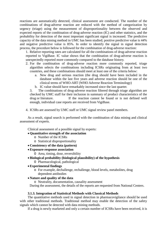reactions are automatically detected, clinical assessment are conducted. The number of the combinations of drug-adverse reaction are reduced with the method of categorization by urgency (triage) using the measurement of disproportionality between the observed and expected reports of the combination of drug-adverse reaction (IC) and other statistics, and the probability for detection of the most important significant signal is increased. The predictive capacity of the data mining method in UMC has been studied; positive predictive value is 44% and negative predictive value is 85%. In order to identify the signal in signal detection process, the procedure below is followed for the combination of drug-adverse reaction:

1. Relative reporting rates are calculated for all the combinations of drug-adverse reaction reported to VigiBase. IC value shows that the combination of drug-adverse reaction is unexpectedly reported more commonly compared to the database history.

- 2. For the combination of drug-adverse reaction more commonly reported, triage algorithm selects the combinations including ICSRs originating from at least two countries, and these combinations should meet at least one of the criteria below:
	- a. New drug and serious reaction (the drug should have been included in the database within the last five years and adverse reaction should be one of the clinical terms of WHO-ART (WHO Adverse Reaction Terminology)
	- b. IC value should have remarkably increased since the last quarter.

3. The combinations of drug-adverse reaction filtered through triage algorithm are checked by UMC staff for their inclusion in summary of product characteristics of the drug or literature. If the reaction cannot be found or is not defined well enough, individual case reports are received from VigiBase.

4. ICSRs are assessed by UMC staff or UMC signal review panel members.

As a result, signal search is performed with the combination of data mining and clinical assessment of experts.

Clinical assessment of a possible signal by experts:

## • **Quantitative strength of the association**

- o Number of the ICSRs
- o Statistical disproportionality
- **Consistency of the data (pattern)**
- **Exposure-response association**
	- O Area, timing, dose, reversibility
- **Biological probability (biological plausibility) of the hypothesis** O Pharmacological, pathological
- **Experimental findings**
	- o For example, dechallenge, rechallenge, blood levels, metabolites, drug dependent antibodies

## • **Nature and quality of the data**

o Neutrality, documentation, causality assessment

During the assessment, the details of the reports are requested from National Centers.

## **3.1.3. Integration of Statistical Methods with Classical Methods**

<span id="page-15-0"></span>The quantitative methods used in signal detection in pharmacovigilance should be used with other traditional methods. Traditional method may enable the detection of the safety signals which cannot be detected with data mining methods.

If a drug is newly marketed and only a certain number of ICSRs have been received, it is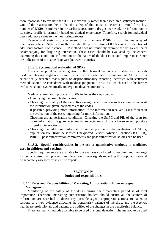more reasonable to evaluate the ICSRs individually rather than based on a statistical method. One of the reasons for this is that the safety of the statistical search is limited for a low number of ICSRs. Moreover, in the earlier stages after a drug is marketed, the information on its safety profile is primarily based on clinical experience. Therefore, search for individual cases add more value to the monitoring process.

Regular and systematic assessment of all the new ICSRs is still the mainstay of pharmacovigilance. Statistical methods enable the prioritization of ICSRs and consideration of additional factors. For instance, PRR method does not routinely examine the drug-event pairs accompanying for drug-drug interaction. These cases should be evaluated by the experts examining this condition. Information on the nature of the data is of vital importance. Since the indications of the same drug vary between countries.

#### **3.1.3.1. Systematical evaluation of SDRs**

<span id="page-16-0"></span>The critical point in the integration of the classical methods with statistical methods used in pharmacovigilance signal detection is systematic evaluation of SDRs. It is scientifically accepted that signals of disproportionality reporting identified with statistical methods should be considered with medical judgment. The SDRs which need to be further evaluated should systematically undergo medical examination.

Medical examination process of SDRs includes the steps below:

- Identifying the possible duplicates:
- Checking the quality of the data: Reviewing the information such as completeness of the information given, correctness of the codes
- If possible, providing more information: If the information received is insufficient in the evaluation of the case, requesting for more information.
- Checking the authorization conditions: Checking the SmPC and PIL of the drug for more information (e.g. expectedness/unexpectedness of the adverse event, possible drug-drug interactions
- Checking the additional information: As supportive in the evaluation of SDRs; application file, RMP, Suspected Unexpected Serious Adverse Reactions (SUSAR), PBRER, post-authorization commitments and post-authorization studies can be used.

## <span id="page-16-1"></span>**3.1.3.2. Special considerations in the use of quantitative methods in medicines used in children and vaccines**

Special requirements are available for the analyses conducted on vaccines and the drugs for pediatric use. Such products and detection of new signals regarding this population should be separately assessed by scientific experts.

#### **SECTION IV**

#### **Duties and responsibilities**

### <span id="page-16-4"></span><span id="page-16-3"></span><span id="page-16-2"></span>**4.1. 4.1. Roles and Responsibilities of Marketing Authorization Holder on Signal Management**

Monitoring of the safety of the drugs during their marketing period is of vital importance. Therefore, marketing authorization holders should ensure all the sources of information are searched to detect any possible signal, appropriate actions are taken to respond to a new evidence affecting the benefit/risk balance of the drug, and the Agency, healthcare professionals and patients are notified of the changes in the benefit/risk balance.

There are many methods available to be used in signal detection. The method to be used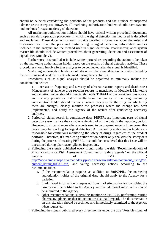should be selected considering the portfolio of the products and the number of suspected adverse reaction reports. However, all marketing authorization holders should have systems and methods for systematic signal detection.

All marketing authorization holders should have official written procedural documents such as standard operation procedure in which the signal detection method used is described and explained. These documents should provide detailed information about the roles and responsibilities of all the personnel participating in signal detection, information sources included in the analysis and the method used in signal detection. Pharmacovigilance system master file should include written procedures about generating, detection and assessment of signals (see Module V).

Furthermore, it should also include written procedures regarding the action to be taken by the marketing authorization holder based on the results of signal detection activity. These procedures should involve further analyses to be conducted after the signal is identified.

Marketing authorization holder should document the signal detection activities including the decisions made and the results obtained during these activities.

Procedures such as signal analysis should be organized to minimally include the consideration below:

1. Increase in frequency and severity of adverse reaction reports and death rates: Management of adverse drug reaction reports is mentioned in Module I. Marketing authorization holder should immediately notify TUFAM of the considerations above, and for any possibility that it results from the quality of the drug, marketing authorization holder should review at which processes of the drug manufacturing there are changes, closely monitor the processes where the change has been implemented, and notify the Agency of the results after conducting necessary analyses.

- 2. Periodical signal search in cumulative data: PBRERs are important parts of signal detection system, since they enable reviewing of all the data in the reporting period. However, in circumstances where reports need to be prepared once in three years, this period may be too long for signal detection. All marketing authorization holders are responsible for continuous monitoring the safety of drugs, regardless of the product portfolio. Therefore, if a marketing authorization holder only analyzes the safety data during the process of creating PBRER, it should be considered that this issue will be questioned during pharmacovigilance inspections.
- 3. Following the signals published every month under the title "Recommendations of Pharmacovigilance Risk Assessment Committee on Safety Signals" on the official website of EMA ( http://www.ema.europa.eu/ema/index.jsp?curl=pages/regulation/document\_listing/do cument\_listing\_000375.jsp) and taking necessary actions according to the recommendations:
	- a. If the recommendation requires an addition to SmPC/PIL, the marketing authorization holder of the original drug should apply to the Agency for a variation.
	- b. If additional information is requested from marketing authorization holder, the issue should be notified to the Agency and the additional information should be submitted to the Agency.
	- c. Other recommendations suggesting monitoring PBRERs, performing routine pharmacovigilance or that no action are also paid regard. The documentation on this situation should be archived and immediately submitted to the Agency, when requested.
- 4. Following the signals published every three months under the title "Possible signal of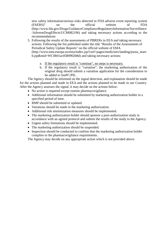new safety information/serious risks detected in FDA adverse event reporting system (FAERS)" on the official website of FDA (http://www.fda.gov/Drugs/GuidanceComplianceRegulatoryInformation/Surveillance /AdverseDrugEffects/UCM082196) and taking necessary actions according to the recommendations

- 5. Following the results of the assessments of PBRERs in EEA and taking necessary actions: Following the list published under the title "Results of the Assessments of Periodical Safety Update Reports" on the official website of EMA (http://www.ema.europa.eu/ema/index.jsp?curl=pages/medicines/landing/psusa\_searc h.jsp&mid=WC0b01ac0580902b8d) and taking necessary actions:
	- a. If the regulatory result is "continue", no steps is necessary.
	- b. If the regulatory result is "variation", the marketing authorization of the original drug should submit a variation application for the consideration to be added to SmPC/PIL.

The Agency should be informed on the signal detection, and explanation should be made for the actions planned and made in EEA and the actions planned to be made in our Country. After the Agency assesses the signal, it may decide on the actions below:

- No action is required except routine pharmacovigilance.
- Additional information should be submitted by marketing authorization holder in a specified period of time.
- RMP should be submitted or updated.
- Variations should be made in the marketing authorization.
- Additional risk minimization measures should be implemented.
- The marketing authorization holder should sponsor a post-authorization study in accordance with an agreed protocol and submit the results of the study to the Agency.
- Urgent safety limitations should be implemented.
- The marketing authorization should be suspended.
- Inspection should be conducted to confirm that the marketing authorization holder complies to the pharmacovigilance requirements.

The Agency may decide on any appropriate action which is not provided above.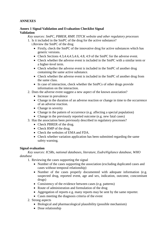## <span id="page-19-0"></span>**ANNEXES**

## **Annex 1 Signal Validation and Evaluation Checklist Signal Validation**

*Key sources: SmPC, PBRER, RMP, TITCK website and other regulatory processes* 1. Is it included in the SmPC of the drug for the active substance?

i.Review the SmPC of the drug

- Firstly, check the SmPC of the innovative drug for active substances which has generic versions.
- Check Sections 4.3, 4.4, 4.5, 4.6, 4.8, 4.9 of the SmPC for the adverse event.
- Check whether the adverse event is included in the SmPC with a similar term or a higher-level term.
- Check whether the adverse event is included in the SmPC of another drug containing the same active substance.
- Check whether the adverse event is included in the SmPC of another drug from the same class.
- In case of interaction, check whether the SmPCs of other drugs provide information on the interaction.
- 2. Does the adverse event suggest a new aspect of the known association?
	- Increase in prevalence
	- Change in the duration of an adverse reaction or change in time to the occurrence of an adverse reaction.
	- Change in severity
	- Change in the pattern of occurrence (e.g. affecting a special population)
	- Change in the previously reported outcome (e.g. new fatal cases)
- 3. Has the association been previously described in regulatory processes?
	- Check PBRER of the drug.
	- Check RMP of the drug.
	- Check the websites of EMA and FDA.
	- Check whether variation application has been submitted regarding the same safety warning.

## **Signal evaluation**

## *Key sources: ICSRs, national databases, literature, EudraVigilance database, WHO database*

- 1. Reviewing the cases supporting the signal
	- Number of the cases supporting the association (excluding duplicated cases and cases without temporal relationship)
	- Number of the cases properly documented with adequate information (e.g. suspected drug, reported event, age and sex, indication, outcome, concomitant drugs)
	- Consistency of the evidence between cases (e.g. patterns)
	- Route of administration and formulation of the drug
	- Aggregation of reports e.g. many reports may be sent by the same reporter.
	- Cases meeting the diagnosis criteria of the event
- 2. Strong aspects
	- Biological and pharmacological plausibility (possible mechanism)
	- Dose relationship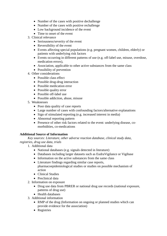- Number of the cases with positive dechallenge
- Number of the cases with positive rechallenge
- Low background incidence of the event
- Time to onset of the event
- 3. Clinical relevance
	- Seriousness/severity of the event
	- Reversibility of the event
	- Events affecting special populations (e.g. pregnant women, children, elderly) or patients with underlying risk factors
	- Events occurring in different patterns of use (e.g. off-label use, misuse, overdose, medication errors),
	- Association, applicable to other active substances from the same class
	- Possibility of prevention
- 4. Other considerations
	- Possible class effect
	- Possible drug-drug interaction
	- Possible medication error
	- Possible quality error
	- Possible off-label use
	- Possible addiction, abuse, misuse
- 5. Weaknesses
	- Poor data quality of case reports
	- Large number of cases with confounding factors/alternative explanations
	- Sign of stimulated reporting (e.g. increased interest in media)
	- Abnormal reporting pattern
	- Presence of other risk factors related to the event: underlying disease, comorbidities, co-medications

## **Additional Source of Information**

*Key sources: Literature, other adverse reaction database, clinical study data, registries, drug use data, trials*

- 1. Additional data
	- National databases (e.g. signals detected in literature)
	- Databases including larger datasets such as EudraVigilance or Vigibase
	- Information on the active substances from the same class
	- Literature findings regarding similar case reports, pharmacoepidemiological studies or studies on possible mechanism of action
	- Clinical Studies
	- Preclinical data
- 2. Information on exposure
	- Drug use data from PBRER or national drug use records (national exposure, patterns of drug use)
	- Health databases
- 3. Additional information
	- RMP of the drug (Information on ongoing or planned studies which can provide evidence for the association)
	- Registries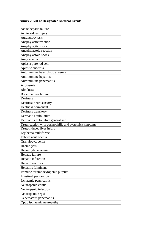## **Annex 2 List of Designated Medical Events**

| Acute hepatic failure                                 |
|-------------------------------------------------------|
| Acute kidney injury                                   |
| Agranulocytosis                                       |
| Anaphylactic reaction                                 |
| Anaphylactic shock                                    |
| Anaphylactoid reaction                                |
| Anaphylactoid shock                                   |
| Angioedema                                            |
| Aplasia pure red cell                                 |
| Aplastic anaemia                                      |
| Autoimmune haemolytic anaemia                         |
| Autoimmune hepatitis                                  |
| Autoimmune pancreatitis                               |
| Azotaemia                                             |
| <b>Blindness</b>                                      |
| Bone marrow failure                                   |
| Deafness                                              |
| Deafness neurosensory                                 |
| Deafness permanent                                    |
| Deafness transitory                                   |
| Dermatitis exfoliative                                |
| Dermatitis exfoliative generalised                    |
| Drug reaction with eosinophilia and systemic symptoms |
| Drug-induced liver injury                             |
| Erythema multiforme                                   |
| Febrile neutropenia                                   |
| Granulocytopenia                                      |
| Haemolysis                                            |
| Haemolytic anaemia                                    |
| Hepatic failure                                       |
| Hepatic infarction                                    |
| Hepatic necrosis                                      |
| Hepatitis fulminant                                   |
| Immune thrombocytopenic purpura                       |
| Intestinal perforation                                |
| Ischaemic pancreatitis                                |
| Neutropenic colitis                                   |
| Neutropenic infection                                 |
| Neutropenic sepsis                                    |
| Oedematous pancreatitis                               |
| Optic ischaemic neuropathy                            |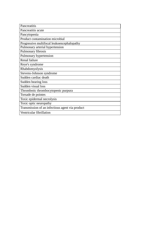| Pancreatitis                                    |
|-------------------------------------------------|
| Pancreatitis acute                              |
| Pancytopenia                                    |
| Product contamination microbial                 |
| Progressive multifocal leukoencephalopathy      |
| Pulmonary arterial hypertension                 |
| Pulmonary fibrosis                              |
| Pulmonary hypertension                          |
| Renal failure                                   |
| Reye's syndrome                                 |
| Rhabdomyolysis                                  |
| Stevens-Johnson syndrome                        |
| Sudden cardiac death                            |
| Sudden hearing loss                             |
| Sudden visual loss                              |
| Thrombotic thrombocytopenic purpura             |
| Torsade de pointes                              |
| Toxic epidermal necrolysis                      |
| Toxic optic neuropathy                          |
| Transmission of an infectious agent via product |
| Ventricular fibrillation                        |